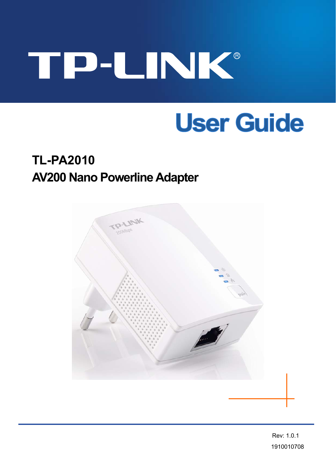# TP-LINK®

# **User Guide**

# **TL-PA2010 AV200 Nano Powerline Adapter**



Rev: 1.0.1 1910010708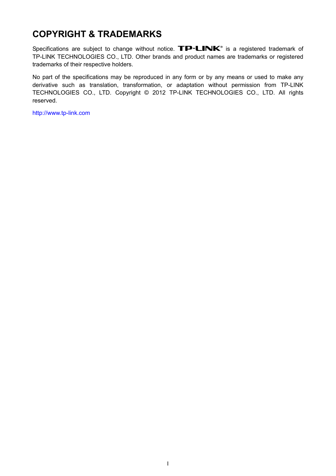# **COPYRIGHT & TRADEMARKS**

Specifications are subject to change without notice.  $\mathbf{TP}\text{-}\mathbf{LINK}^*$  is a registered trademark of TP-LINK TECHNOLOGIES CO., LTD. Other brands and product names are trademarks or registered trademarks of their respective holders.

No part of the specifications may be reproduced in any form or by any means or used to make any derivative such as translation, transformation, or adaptation without permission from TP-LINK TECHNOLOGIES CO., LTD. Copyright © 2012 TP-LINK TECHNOLOGIES CO., LTD. All rights reserved.

[http://www.tp-link.com](http://www.tp-link.com/)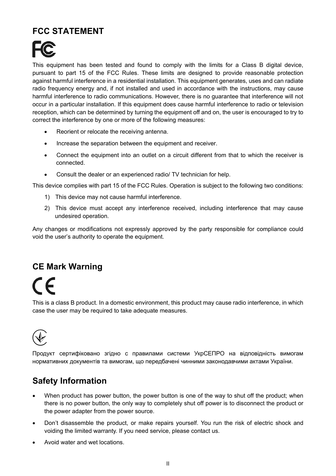## **FCC STATEMENT**



This equipment has been tested and found to comply with the limits for a Class B digital device, pursuant to part 15 of the FCC Rules. These limits are designed to provide reasonable protection against harmful interference in a residential installation. This equipment generates, uses and can radiate radio frequency energy and, if not installed and used in accordance with the instructions, may cause harmful interference to radio communications. However, there is no guarantee that interference will not occur in a particular installation. If this equipment does cause harmful interference to radio or television reception, which can be determined by turning the equipment off and on, the user is encouraged to try to correct the interference by one or more of the following measures:

- Reorient or relocate the receiving antenna.
- Increase the separation between the equipment and receiver.
- Connect the equipment into an outlet on a circuit different from that to which the receiver is connected.
- Consult the dealer or an experienced radio/ TV technician for help.

This device complies with part 15 of the FCC Rules. Operation is subject to the following two conditions:

- 1) This device may not cause harmful interference.
- 2) This device must accept any interference received, including interference that may cause undesired operation.

Any changes or modifications not expressly approved by the party responsible for compliance could void the user's authority to operate the equipment.

#### **CE Mark Warning**

# $\epsilon$

This is a class B product. In a domestic environment, this product may cause radio interference, in which case the user may be required to take adequate measures.



Продукт сертифіковано згідно с правилами системи УкрСЕПРО на відповідність вимогам нормативних документів та вимогам, що передбачені чинними законодавчими актами України.

### **Safety Information**

- When product has power button, the power button is one of the way to shut off the product; when there is no power button, the only way to completely shut off power is to disconnect the product or the power adapter from the power source.
- Don't disassemble the product, or make repairs yourself. You run the risk of electric shock and voiding the limited warranty. If you need service, please contact us.
- Avoid water and wet locations.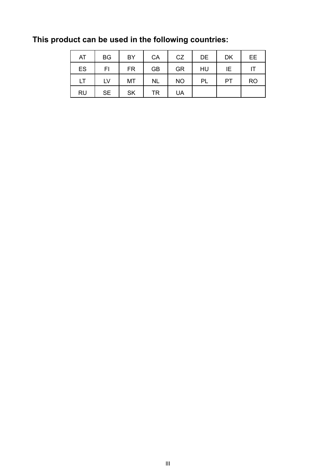| AT        | <b>BG</b> | BY        | CA        | <b>CZ</b> | DE | <b>DK</b> | <b>EE</b> |
|-----------|-----------|-----------|-----------|-----------|----|-----------|-----------|
| ES        | FI        | <b>FR</b> | <b>GB</b> | <b>GR</b> | HU | ΙE        |           |
| LT        | LV        | MT        | <b>NL</b> | <b>NO</b> | PL | <b>PT</b> | <b>RO</b> |
| <b>RU</b> | <b>SE</b> | <b>SK</b> | TR        | <b>UA</b> |    |           |           |

**This product can be used in the following countries:**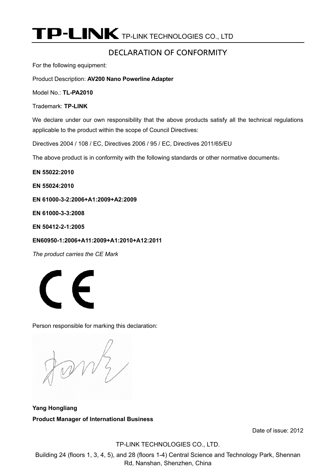P-LINK TP-LINK TECHNOLOGIES CO., LTD

#### DECLARATION OF CONFORMITY

For the following equipment:

Product Description: **AV200 Nano Powerline Adapter**

Model No.: **TL-PA2010**

Trademark: **TP-LINK** 

We declare under our own responsibility that the above products satisfy all the technical regulations applicable to the product within the scope of Council Directives:

Directives 2004 / 108 / EC, Directives 2006 / 95 / EC, Directives 2011/65/EU

The above product is in conformity with the following standards or other normative documents:

**EN 55022:2010** 

**EN 55024:2010** 

**EN 61000-3-2:2006+A1:2009+A2:2009** 

**EN 61000-3-3:2008** 

**EN 50412-2-1:2005** 

**EN60950-1:2006+A11:2009+A1:2010+A12:2011** 

*The product carries the CE Mark* 



Person responsible for marking this declaration:

**Yang Hongliang Product Manager of International Business** 

Date of issue: 2012

TP-LINK TECHNOLOGIES CO., LTD.

Building 24 (floors 1, 3, 4, 5), and 28 (floors 1-4) Central Science and Technology Park, Shennan Rd, Nanshan, Shenzhen, China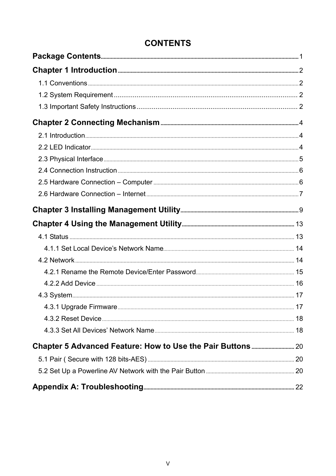# **CONTENTS**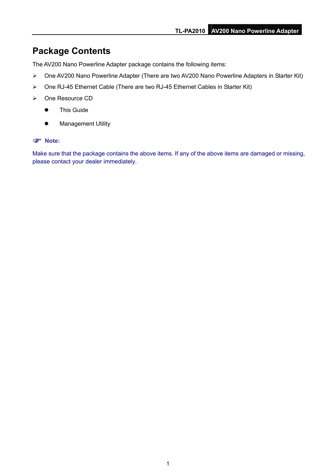# <span id="page-6-0"></span>**Package Contents**

The AV200 Nano Powerline Adapter package contains the following items:

- ¾ One AV200 Nano Powerline Adapter (There are two AV200 Nano Powerline Adapters in Starter Kit)
- ¾ One RJ-45 Ethernet Cable (There are two RJ-45 Ethernet Cables in Starter Kit)
- ¾ One Resource CD
	- **•** This Guide
	- **•** Management Utility

#### ) **Note:**

Make sure that the package contains the above items. If any of the above items are damaged or missing, please contact your dealer immediately.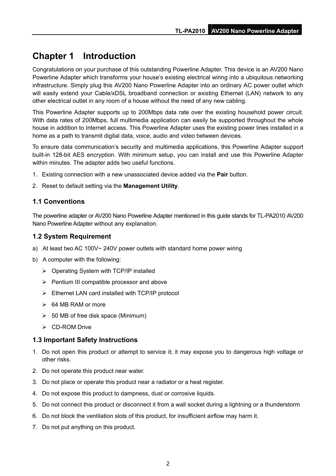# <span id="page-7-0"></span>**Chapter 1 Introduction**

Congratulations on your purchase of this outstanding Powerline Adapter. This device is an AV200 Nano Powerline Adapter which transforms your house's existing electrical wiring into a ubiquitous networking infrastructure. Simply plug this AV200 Nano Powerline Adapter into an ordinary AC power outlet which will easily extend your Cable/xDSL broadband connection or existing Ethernet (LAN) network to any other electrical outlet in any room of a house without the need of any new cabling.

This Powerline Adapter supports up to 200Mbps data rate over the existing household power circuit. With data rates of 200Mbps, full multimedia application can easily be supported throughout the whole house in addition to Internet access. This Powerline Adapter uses the existing power lines installed in a home as a path to transmit digital data, voice, audio and video between devices.

To ensure data communication's security and multimedia applications, this Powerline Adapter support built-in 128-bit AES encryption. With minimum setup, you can install and use this Powerline Adapter within minutes. The adapter adds two useful functions.

- 1. Existing connection with a new unassociated device added via the **Pair** button.
- 2. Reset to default setting via the **Management Utility**.

#### **1.1 Conventions**

The powerline adapter or AV200 Nano Powerline Adapter mentioned in this guide stands for TL-PA2010 AV200 Nano Powerline Adapter without any explanation.

#### **1.2 System Requirement**

- a) At least two AC 100V~ 240V power outlets with standard home power wiring
- b) A computer with the following:
	- $\triangleright$  Operating System with TCP/IP installed
	- $\triangleright$  Pentium III compatible processor and above
	- $\triangleright$  Ethernet LAN card installed with TCP/IP protocol
	- $\geq$  64 MB RAM or more
	- $\geq$  50 MB of free disk space (Minimum)
	- ¾ CD-ROM Drive

#### **1.3 Important Safety Instructions**

- 1. Do not open this product or attempt to service it; it may expose you to dangerous high voltage or other risks.
- 2. Do not operate this product near water.
- 3. Do not place or operate this product near a radiator or a heat register.
- 4. Do not expose this product to dampness, dust or corrosive liquids.
- 5. Do not connect this product or disconnect it from a wall socket during a lightning or a thunderstorm
- 6. Do not block the ventilation slots of this product, for insufficient airflow may harm it.
- 7. Do not put anything on this product.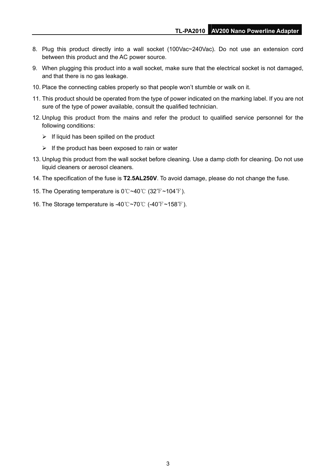- 8. Plug this product directly into a wall socket (100Vac~240Vac). Do not use an extension cord between this product and the AC power source.
- 9. When plugging this product into a wall socket, make sure that the electrical socket is not damaged, and that there is no gas leakage.
- 10. Place the connecting cables properly so that people won't stumble or walk on it.
- 11. This product should be operated from the type of power indicated on the marking label. If you are not sure of the type of power available, consult the qualified technician.
- 12. Unplug this product from the mains and refer the product to qualified service personnel for the following conditions:
	- $\triangleright$  If liquid has been spilled on the product
	- $\triangleright$  If the product has been exposed to rain or water
- 13. Unplug this product from the wall socket before cleaning. Use a damp cloth for cleaning. Do not use liquid cleaners or aerosol cleaners.
- 14. The specification of the fuse is **T2.5AL250V**. To avoid damage, please do not change the fuse.
- 15. The Operating temperature is  $0^\circ$   $\sim$  40 $^\circ$  (32 $^\circ$ F  $\sim$  104 $^\circ$ F).
- 16. The Storage temperature is -40 ~70 ℃ ℃ (-40 ~158 ) ℉ ℉ .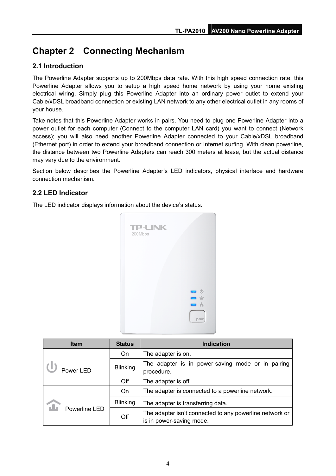# <span id="page-9-0"></span>**Chapter 2 Connecting Mechanism**

#### **2.1 Introduction**

The Powerline Adapter supports up to 200Mbps data rate. With this high speed connection rate, this Powerline Adapter allows you to setup a high speed home network by using your home existing electrical wiring. Simply plug this Powerline Adapter into an ordinary power outlet to extend your Cable/xDSL broadband connection or existing LAN network to any other electrical outlet in any rooms of your house.

Take notes that this Powerline Adapter works in pairs. You need to plug one Powerline Adapter into a power outlet for each computer (Connect to the computer LAN card) you want to connect (Network access); you will also need another Powerline Adapter connected to your Cable/xDSL broadband (Ethernet port) in order to extend your broadband connection or Internet surfing. With clean powerline, the distance between two Powerline Adapters can reach 300 meters at lease, but the actual distance may vary due to the environment.

Section below describes the Powerline Adapter's LED indicators, physical interface and hardware connection mechanism.

#### **2.2 LED Indicator**

The LED indicator displays information about the device's status.



| <b>Item</b>   | <b>Status</b>   | <b>Indication</b>                                                                   |
|---------------|-----------------|-------------------------------------------------------------------------------------|
|               | On              | The adapter is on.                                                                  |
| Power LED     | <b>Blinking</b> | The adapter is in power-saving mode or in pairing<br>procedure.                     |
|               | Off             | The adapter is off.                                                                 |
|               | On              | The adapter is connected to a powerline network.                                    |
|               | <b>Blinking</b> | The adapter is transferring data.                                                   |
| Powerline LED | Off             | The adapter isn't connected to any powerline network or<br>is in power-saving mode. |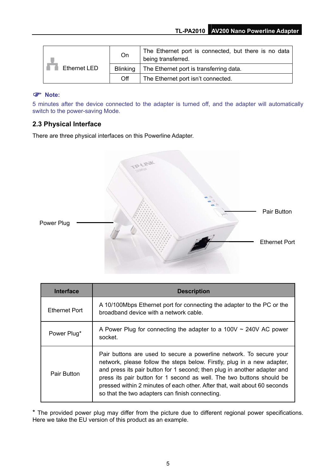<span id="page-10-0"></span>

|              | On       | The Ethernet port is connected, but there is no data<br>being transferred. |
|--------------|----------|----------------------------------------------------------------------------|
| Ethernet LED |          | Blinking   The Ethernet port is transferring data.                         |
|              | $\Omega$ | The Ethernet port isn't connected.                                         |

#### ) **Note:**

5 minutes after the device connected to the adapter is turned off, and the adapter will automatically switch to the power-saving Mode.

#### **2.3 Physical Interface**

There are three physical interfaces on this Powerline Adapter.



| <b>Interface</b>   | <b>Description</b>                                                                                                                                                                                                                                                                                                                                                                                                                  |
|--------------------|-------------------------------------------------------------------------------------------------------------------------------------------------------------------------------------------------------------------------------------------------------------------------------------------------------------------------------------------------------------------------------------------------------------------------------------|
| Ethernet Port      | A 10/100Mbps Ethernet port for connecting the adapter to the PC or the<br>broadband device with a network cable.                                                                                                                                                                                                                                                                                                                    |
| Power Plug*        | A Power Plug for connecting the adapter to a 100V $\sim$ 240V AC power<br>socket.                                                                                                                                                                                                                                                                                                                                                   |
| <b>Pair Button</b> | Pair buttons are used to secure a powerline network. To secure your<br>network, please follow the steps below. Firstly, plug in a new adapter,<br>and press its pair button for 1 second; then plug in another adapter and<br>press its pair button for 1 second as well. The two buttons should be<br>pressed within 2 minutes of each other. After that, wait about 60 seconds<br>so that the two adapters can finish connecting. |

\* The provided power plug may differ from the picture due to different regional power specifications. Here we take the EU version of this product as an example.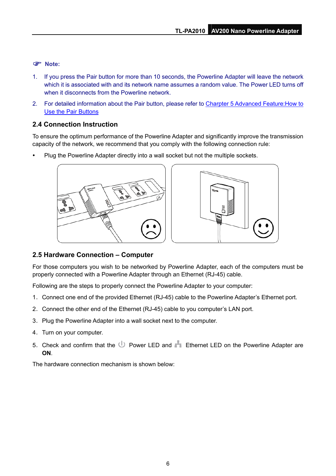#### <span id="page-11-0"></span>) **Note:**

- 1. If you press the Pair button for more than 10 seconds, the Powerline Adapter will leave the network which it is associated with and its network name assumes a random value. The Power LED turns off when it disconnects from the Powerline network
- 2. For detailed information about the Pair button, please refer to Charpter 5 Advanced Feature: How to [Use the Pair Buttons](#page-25-0)

#### **2.4 Connection Instruction**

To ensure the optimum performance of the Powerline Adapter and significantly improve the transmission capacity of the network, we recommend that you comply with the following connection rule:

Plug the Powerline Adapter directly into a wall socket but not the multiple sockets.





#### **2.5 Hardware Connection – Computer**

For those computers you wish to be networked by Powerline Adapter, each of the computers must be properly connected with a Powerline Adapter through an Ethernet (RJ-45) cable.

Following are the steps to properly connect the Powerline Adapter to your computer:

- 1. Connect one end of the provided Ethernet (RJ-45) cable to the Powerline Adapter's Ethernet port.
- 2. Connect the other end of the Ethernet (RJ-45) cable to you computer's LAN port.
- 3. Plug the Powerline Adapter into a wall socket next to the computer.
- 4. Turn on your computer.
- 5. Check and confirm that the U Power LED and Ethernet LED on the Powerline Adapter are **ON**.

The hardware connection mechanism is shown below: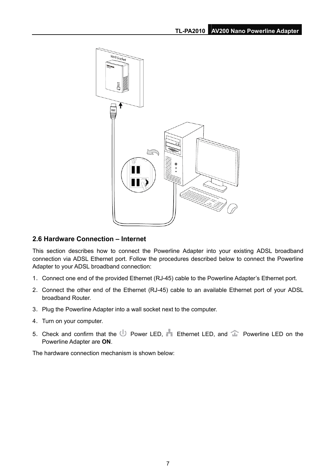<span id="page-12-0"></span>

#### **2.6 Hardware Connection – Internet**

This section describes how to connect the Powerline Adapter into your existing ADSL broadband connection via ADSL Ethernet port. Follow the procedures described below to connect the Powerline Adapter to your ADSL broadband connection:

- 1. Connect one end of the provided Ethernet (RJ-45) cable to the Powerline Adapter's Ethernet port.
- 2. Connect the other end of the Ethernet (RJ-45) cable to an available Ethernet port of your ADSL broadband Router.
- 3. Plug the Powerline Adapter into a wall socket next to the computer.
- 4. Turn on your computer.
- 5. Check and confirm that the  $\mathbb U$  Power LED,  $\blacksquare$  Ethernet LED, and  $\mathbb T$  Powerline LED on the Powerline Adapter are **ON**.

The hardware connection mechanism is shown below: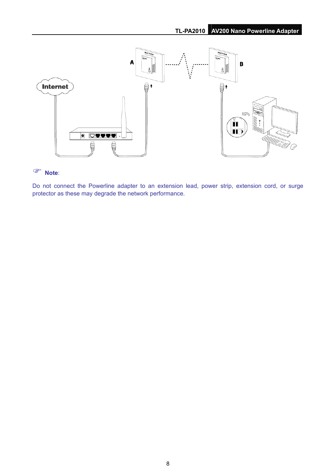

### ) **Note**:

Do not connect the Powerline adapter to an extension lead, power strip, extension cord, or surge protector as these may degrade the network performance.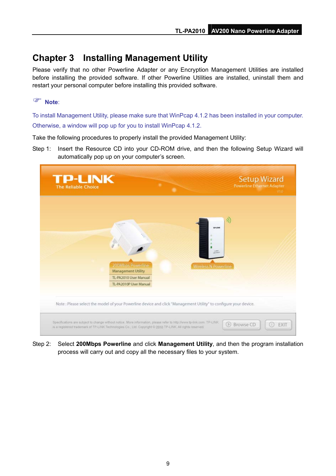# <span id="page-14-0"></span>**Chapter 3 Installing Management Utility**

Please verify that no other Powerline Adapter or any Encryption Management Utilities are installed before installing the provided software. If other Powerline Utilities are installed, uninstall them and restart your personal computer before installing this provided software.

#### ) **Note**:

To install Management Utility, please make sure that WinPcap 4.1.2 has been installed in your computer. Otherwise, a window will pop up for you to install WinPcap 4.1.2.

Take the following procedures to properly install the provided Management Utility:

Step 1: Insert the Resource CD into your CD-ROM drive, and then the following Setup Wizard will automatically pop up on your computer's screen.



Step 2: Select **200Mbps Powerline** and click **Management Utility**, and then the program installation process will carry out and copy all the necessary files to your system.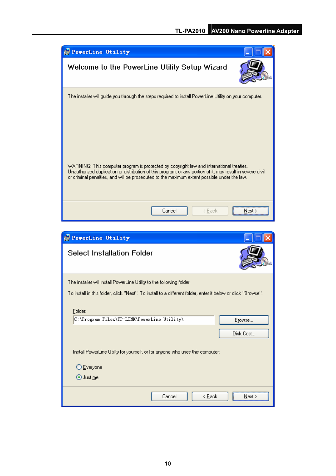

| PoverLine Utility                                                                                            |                 |
|--------------------------------------------------------------------------------------------------------------|-----------------|
| <b>Select Installation Folder</b>                                                                            |                 |
| The installer will install PowerLine Utility to the following folder.                                        |                 |
| To install in this folder, click "Next". To install to a different folder, enter it below or click "Browse". |                 |
| Folder:                                                                                                      |                 |
| C:\Program Files\TP-LINK\PowerLine Utility\                                                                  | B <u>r</u> owse |
|                                                                                                              | Disk Cost       |
| Install PowerLine Utility for yourself, or for anyone who uses this computer:                                |                 |
| ◯ Everyone                                                                                                   |                 |
| $\odot$ Just me                                                                                              |                 |
| Cancel<br>< <u>B</u> ack                                                                                     | Next >          |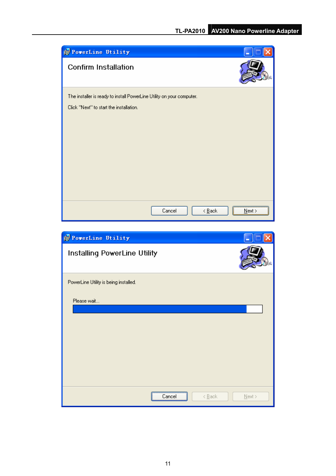

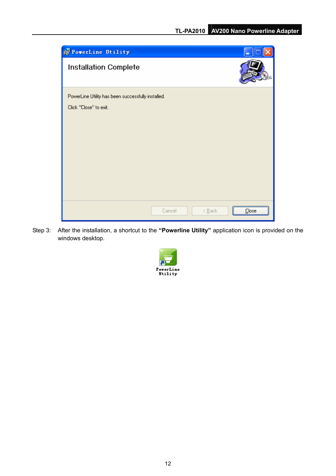

Step 3: After the installation, a shortcut to the **"Powerline Utility"** application icon is provided on the windows desktop.

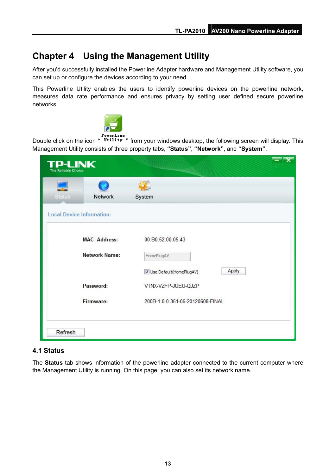# <span id="page-18-0"></span>**Chapter 4 Using the Management Utility**

After you'd successfully installed the Powerline Adapter hardware and Management Utility software, you can set up or configure the devices according to your need.

This Powerline Utility enables the users to identify powerline devices on the powerline network, measures data rate performance and ensures privacy by setting user defined secure powerline networks.



Double click on the icon **" "** from your windows desktop, the following screen will display. This Management Utility consists of three property tabs, **"Status"**, **"Network"**, and **"System"**.

| <b>Status</b> | Network                          | System                             |
|---------------|----------------------------------|------------------------------------|
|               | <b>Local Device Information:</b> |                                    |
|               | <b>MAC Address:</b>              | 00:B0:52:00:05:43                  |
|               | <b>Network Name:</b>             | HomePlugAV                         |
|               |                                  | Apply<br>V Use Default(HomePlugAV) |
|               | Password:                        | VTNX-VZFP-JUEU-QJZP                |
|               | <b>Firmware:</b>                 | 200B-1.0.0.351-06-20120608-FINAL   |

#### **4.1 Status**

The **Status** tab shows information of the powerline adapter connected to the current computer where the Management Utility is running. On this page, you can also set its network name.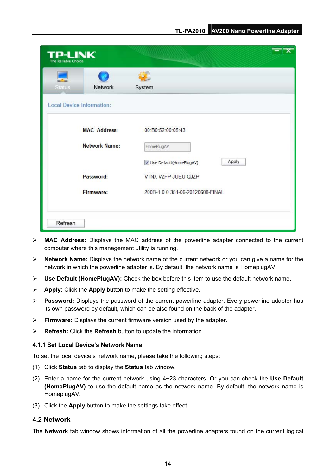<span id="page-19-0"></span>

| <b>TP-LINK</b><br><b>The Reliable Choice</b> |                      |                                  |  |
|----------------------------------------------|----------------------|----------------------------------|--|
| <b>Status</b>                                | Network              | System                           |  |
| <b>Local Device Information:</b>             |                      |                                  |  |
|                                              | <b>MAC Address:</b>  | 00:B0:52:00:05:43                |  |
|                                              | <b>Network Name:</b> | HomePlugAV                       |  |
|                                              |                      | Apply<br>Use Default(HomePlugAV) |  |
|                                              | Password:            | VTNX-VZFP-JUEU-QJZP              |  |
|                                              | <b>Firmware:</b>     | 200B-1.0.0.351-06-20120608-FINAL |  |
| Refresh                                      |                      |                                  |  |

- ¾ **MAC Address:** Displays the MAC address of the powerline adapter connected to the current computer where this management utility is running.
- ¾ **Network Name:** Displays the network name of the current network or you can give a name for the network in which the powerline adapter is. By default, the network name is HomeplugAV.
- ¾ **Use Default (HomePlugAV):** Check the box before this item to use the default network name.
- ¾ **Apply:** Click the **Apply** button to make the setting effective.
- ¾ **Password:** Displays the password of the current powerline adapter. Every powerline adapter has its own password by default, which can be also found on the back of the adapter.
- ¾ **Firmware:** Displays the current firmware version used by the adapter.
- ¾ **Refresh:** Click the **Refresh** button to update the information.

#### **4.1.1 Set Local Device's Network Name**

To set the local device's network name, please take the following steps:

- (1) Click **Status** tab to display the **Status** tab window.
- (2) Enter a name for the current network using 4~23 characters. Or you can check the **Use Default (HomePlugAV)** to use the default name as the network name. By default, the network name is HomeplugAV.
- (3) Click the **Apply** button to make the settings take effect.

#### **4.2 Network**

The **Network** tab window shows information of all the powerline adapters found on the current logical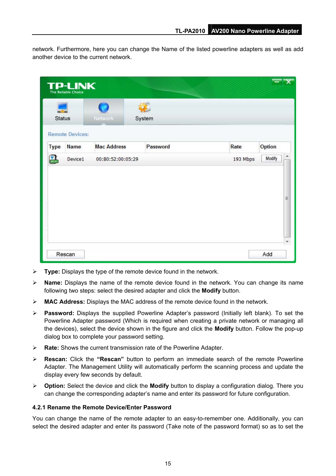<span id="page-20-0"></span>network. Furthermore, here you can change the Name of the listed powerline adapters as well as add another device to the current network.

|             | <b>TP-LINK</b><br>The Reliable Choice |                    |          |          |             |
|-------------|---------------------------------------|--------------------|----------|----------|-------------|
| Status      |                                       | Network            | System   |          |             |
| <b>Type</b> | <b>Remote Devices:</b><br>Name        | <b>Mac Address</b> | Password | Rate     | Option      |
| 畾           | Device1                               | 00:B0:52:00:05:29  |          | 193 Mbps | ۸<br>Modify |
|             |                                       |                    |          |          |             |
|             |                                       |                    |          |          | Ħ           |

- ¾ **Type:** Displays the type of the remote device found in the network.
- ¾ **Name:** Displays the name of the remote device found in the network. You can change its name following two steps: select the desired adapter and click the **Modify** button.
- ¾ **MAC Address:** Displays the MAC address of the remote device found in the network.
- ¾ **Password:** Displays the supplied Powerline Adapter's password (Initially left blank). To set the Powerline Adapter password (Which is required when creating a private network or managing all the devices), select the device shown in the figure and click the **Modify** button. Follow the pop-up dialog box to complete your password setting.
- ¾ **Rate:** Shows the current transmission rate of the Powerline Adapter.
- ¾ **Rescan:** Click the **"Rescan"** button to perform an immediate search of the remote Powerline Adapter. The Management Utility will automatically perform the scanning process and update the display every few seconds by default.
- ¾ **Option:** Select the device and click the **Modify** button to display a configuration dialog. There you can change the corresponding adapter's name and enter its password for future configuration.

#### **4.2.1 Rename the Remote Device/Enter Password**

You can change the name of the remote adapter to an easy-to-remember one. Additionally, you can select the desired adapter and enter its password (Take note of the password format) so as to set the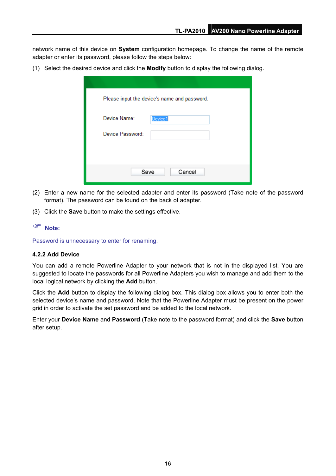<span id="page-21-0"></span>network name of this device on **System** configuration homepage. To change the name of the remote adapter or enter its password, please follow the steps below:

(1) Select the desired device and click the **Modify** button to display the following dialog.

| Please input the device's name and password. |
|----------------------------------------------|
| Device Name:<br>Device1                      |
| Device Password:                             |
|                                              |
| Save<br>Cancel                               |

- (2) Enter a new name for the selected adapter and enter its password (Take note of the password format). The password can be found on the back of adapter.
- (3) Click the **Save** button to make the settings effective.

#### ) **Note:**

Password is unnecessary to enter for renaming.

#### **4.2.2 Add Device**

You can add a remote Powerline Adapter to your network that is not in the displayed list. You are suggested to locate the passwords for all Powerline Adapters you wish to manage and add them to the local logical network by clicking the **Add** button.

Click the **Add** button to display the following dialog box. This dialog box allows you to enter both the selected device's name and password. Note that the Powerline Adapter must be present on the power grid in order to activate the set password and be added to the local network.

Enter your **Device Name** and **Password** (Take note to the password format) and click the **Save** button after setup.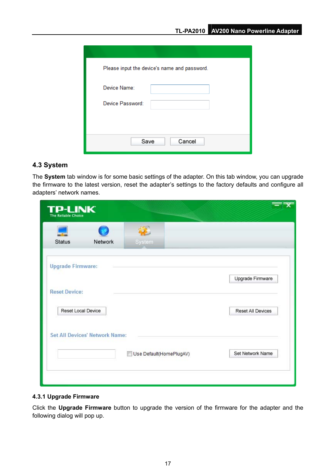<span id="page-22-0"></span>

| Please input the device's name and password. |
|----------------------------------------------|
| Device Name:                                 |
| Device Password:                             |
|                                              |
| Save<br>Cancel                               |
|                                              |

#### **4.3 System**

The **System** tab window is for some basic settings of the adapter. On this tab window, you can upgrade the firmware to the latest version, reset the adapter's settings to the factory defaults and configure all adapters' network names.

| <b>TP-LINK</b><br><b>The Reliable Choice</b> |                                       |                         |                   |
|----------------------------------------------|---------------------------------------|-------------------------|-------------------|
| <b>Status</b>                                | Network                               | System                  |                   |
| <b>Upgrade Firmware:</b>                     |                                       |                         | Upgrade Firmware  |
| <b>Reset Device:</b>                         |                                       |                         |                   |
| Reset Local Device                           |                                       |                         | Reset All Devices |
|                                              | <b>Set All Devices' Network Name:</b> |                         |                   |
|                                              |                                       | Use Default(HomePlugAV) | Set Network Name  |

#### **4.3.1 Upgrade Firmware**

Click the **Upgrade Firmware** button to upgrade the version of the firmware for the adapter and the following dialog will pop up.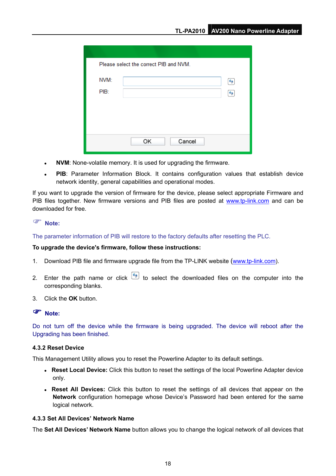<span id="page-23-0"></span>

| Please select the correct PIB and NVM. |              |  |
|----------------------------------------|--------------|--|
| NVM:                                   |              |  |
| PIB:                                   |              |  |
|                                        |              |  |
|                                        |              |  |
|                                        |              |  |
|                                        | OK<br>Cancel |  |

- **NVM**: None-volatile memory. It is used for upgrading the firmware.
- PIB: Parameter Information Block. It contains configuration values that establish device network identity, general capabilities and operational modes.

If you want to upgrade the version of firmware for the device, please select appropriate Firmware and PIB files together. New firmware versions and PIB files are posted at [www.tp-link.com](http://www.tp-link.com/) and can be downloaded for free.

#### ) **Note:**

The parameter information of PIB will restore to the factory defaults after resetting the PLC.

#### **To upgrade the device's firmware, follow these instructions:**

- 1. Download PIB file and firmware upgrade file from the TP-LINK website ([www.tp-link.com\)](http://www.tp-link.com/).
- 2. Enter the path name or click  $\leftarrow$  to select the downloaded files on the computer into the corresponding blanks.
- 3. Click the **OK** button.

#### ) **Note:**

Do not turn off the device while the firmware is being upgraded. The device will reboot after the Upgrading has been finished.

#### **4.3.2 Reset Device**

This Management Utility allows you to reset the Powerline Adapter to its default settings.

- Reset Local Device: Click this button to reset the settings of the local Powerline Adapter device only.
- Reset All Devices: Click this button to reset the settings of all devices that appear on the **Network** configuration homepage whose Device's Password had been entered for the same logical network.

#### **4.3.3 Set All Devices' Network Name**

The **Set All Devices' Network Name** button allows you to change the logical network of all devices that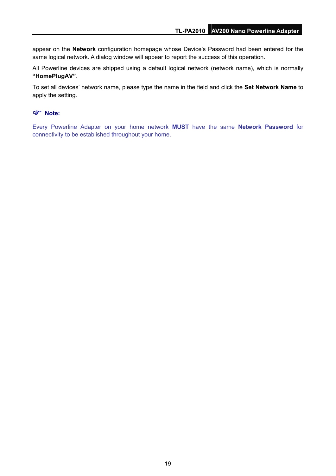appear on the **Network** configuration homepage whose Device's Password had been entered for the same logical network. A dialog window will appear to report the success of this operation.

All Powerline devices are shipped using a default logical network (network name), which is normally **"HomePlugAV"**.

To set all devices' network name, please type the name in the field and click the **Set Network Name** to apply the setting.

#### ) **Note:**

Every Powerline Adapter on your home network **MUST** have the same **Network Password** for connectivity to be established throughout your home.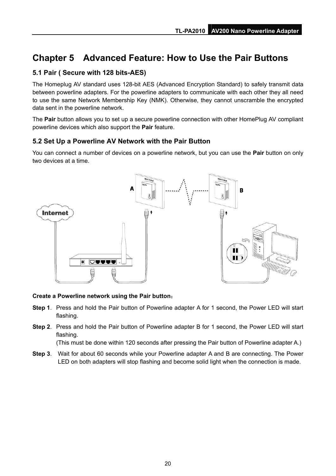# <span id="page-25-0"></span>**Chapter 5 Advanced Feature: How to Use the Pair Buttons**

#### **5.1 Pair ( Secure with 128 bits-AES)**

The Homeplug AV standard uses 128-bit AES (Advanced Encryption Standard) to safely transmit data between powerline adapters. For the powerline adapters to communicate with each other they all need to use the same Network Membership Key (NMK). Otherwise, they cannot unscramble the encrypted data sent in the powerline network.

The **Pair** button allows you to set up a secure powerline connection with other HomePlug AV compliant powerline devices which also support the **Pair** feature.

#### **5.2 Set Up a Powerline AV Network with the Pair Button**

You can connect a number of devices on a powerline network, but you can use the **Pair** button on only two devices at a time.



#### **Create a Powerline network using the Pair button**:

- **Step 1**. Press and hold the Pair button of Powerline adapter A for 1 second, the Power LED will start flashing.
- **Step 2**. Press and hold the Pair button of Powerline adapter B for 1 second, the Power LED will start flashing.

(This must be done within 120 seconds after pressing the Pair button of Powerline adapter A.)

**Step 3**. Wait for about 60 seconds while your Powerline adapter A and B are connecting. The Power LED on both adapters will stop flashing and become solid light when the connection is made.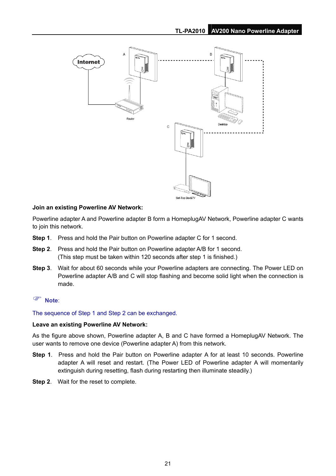

#### **Join an existing Powerline AV Network:**

Powerline adapter A and Powerline adapter B form a HomeplugAV Network, Powerline adapter C wants to join this network.

- **Step 1**. Press and hold the Pair button on Powerline adapter C for 1 second.
- **Step 2**. Press and hold the Pair button on Powerline adapter A/B for 1 second. (This step must be taken within 120 seconds after step 1 is finished.)
- **Step 3**. Wait for about 60 seconds while your Powerline adapters are connecting. The Power LED on Powerline adapter A/B and C will stop flashing and become solid light when the connection is made.

#### ) **Note**:

The sequence of Step 1 and Step 2 can be exchanged.

#### **Leave an existing Powerline AV Network:**

As the figure above shown, Powerline adapter A, B and C have formed a HomeplugAV Network. The user wants to remove one device (Powerline adapter A) from this network.

- **Step 1**. Press and hold the Pair button on Powerline adapter A for at least 10 seconds. Powerline adapter A will reset and restart. (The Power LED of Powerline adapter A will momentarily extinguish during resetting, flash during restarting then illuminate steadily.)
- **Step 2**. Wait for the reset to complete.